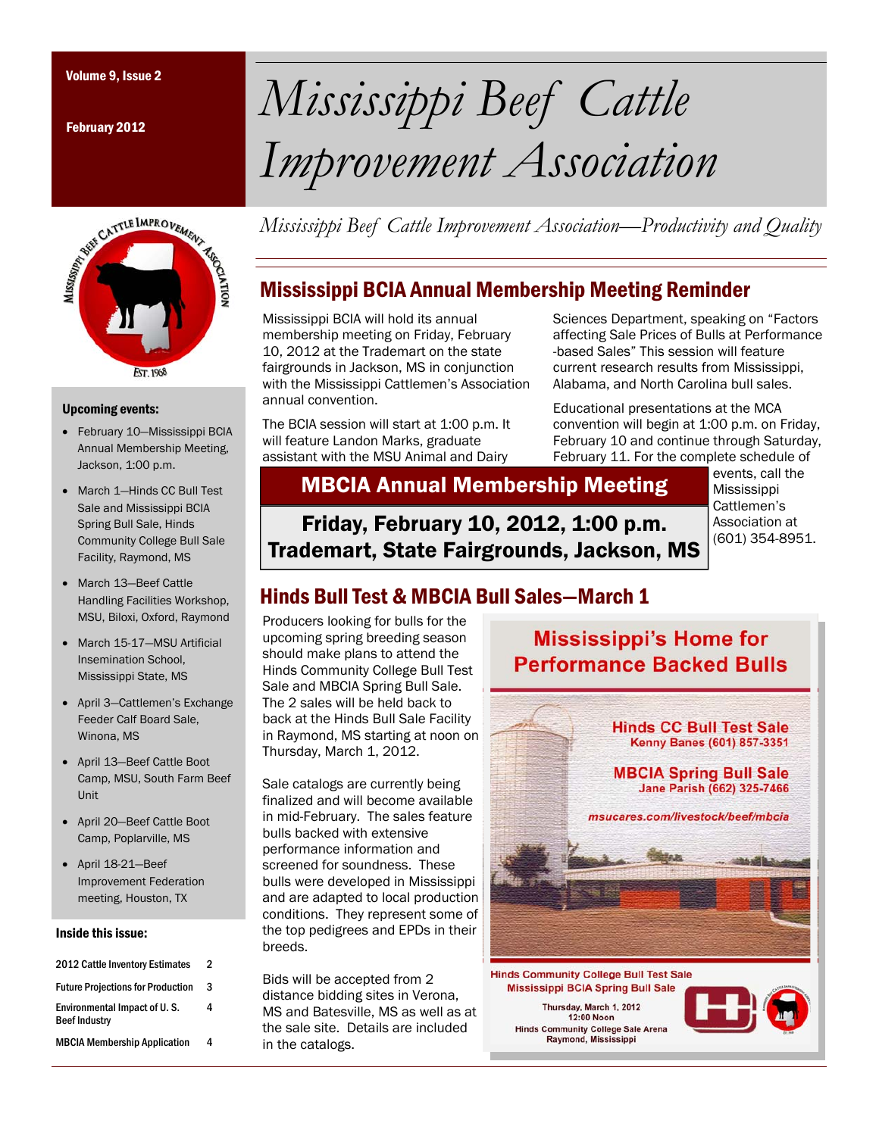February 2012



#### Upcoming events:

- February 10—Mississippi BCIA Annual Membership Meeting, Jackson, 1:00 p.m.
- March 1-Hinds CC Bull Test Sale and Mississippi BCIA Spring Bull Sale, Hinds Community College Bull Sale Facility, Raymond, MS
- March 13—Beef Cattle Handling Facilities Workshop, MSU, Biloxi, Oxford, Raymond
- March 15-17—MSU Artificial Insemination School, Mississippi State, MS
- April 3—Cattlemen's Exchange Feeder Calf Board Sale, Winona, MS
- April 13—Beef Cattle Boot Camp, MSU, South Farm Beef Unit
- April 20—Beef Cattle Boot Camp, Poplarville, MS
- April 18-21—Beef Improvement Federation meeting, Houston, TX

#### Inside this issue:

| 2012 Cattle Inventory Estimates                      | 2 |
|------------------------------------------------------|---|
| <b>Future Projections for Production</b>             | 3 |
| Environmental Impact of U.S.<br><b>Beef Industry</b> | 4 |
| <b>MBCIA Membership Application</b>                  | 4 |

# Volume 9, Issue 2 *Mississippi Beef Cattle Improvement Association*

*Mississippi Beef Cattle Improvement Association—Productivity and Quality* 

## Mississippi BCIA Annual Membership Meeting Reminder

Mississippi BCIA will hold its annual membership meeting on Friday, February 10, 2012 at the Trademart on the state fairgrounds in Jackson, MS in conjunction with the Mississippi Cattlemen's Association annual convention.

The BCIA session will start at 1:00 p.m. It will feature Landon Marks, graduate assistant with the MSU Animal and Dairy

Sciences Department, speaking on "Factors affecting Sale Prices of Bulls at Performance -based Sales" This session will feature current research results from Mississippi, Alabama, and North Carolina bull sales.

Educational presentations at the MCA convention will begin at 1:00 p.m. on Friday, February 10 and continue through Saturday, February 11. For the complete schedule of

MBCIA Annual Membership Meeting

Friday, February 10, 2012, 1:00 p.m. Trademart, State Fairgrounds, Jackson, MS

events, call the Mississippi Cattlemen's Association at (601) 354-8951.

# Hinds Bull Test & MBCIA Bull Sales—March 1

Producers looking for bulls for the upcoming spring breeding season should make plans to attend the Hinds Community College Bull Test Sale and MBCIA Spring Bull Sale. The 2 sales will be held back to back at the Hinds Bull Sale Facility in Raymond, MS starting at noon on Thursday, March 1, 2012.

Sale catalogs are currently being finalized and will become available in mid-February. The sales feature bulls backed with extensive performance information and screened for soundness. These bulls were developed in Mississippi and are adapted to local production conditions. They represent some of the top pedigrees and EPDs in their breeds.

Bids will be accepted from 2 distance bidding sites in Verona, MS and Batesville, MS as well as at the sale site. Details are included in the catalogs.

**Mississippi's Home for Performance Backed Bulls** 



Thursday, March 1, 2012 12:00 Noon Hinds Community College Sale Arena<br>Raymond, Mississippi

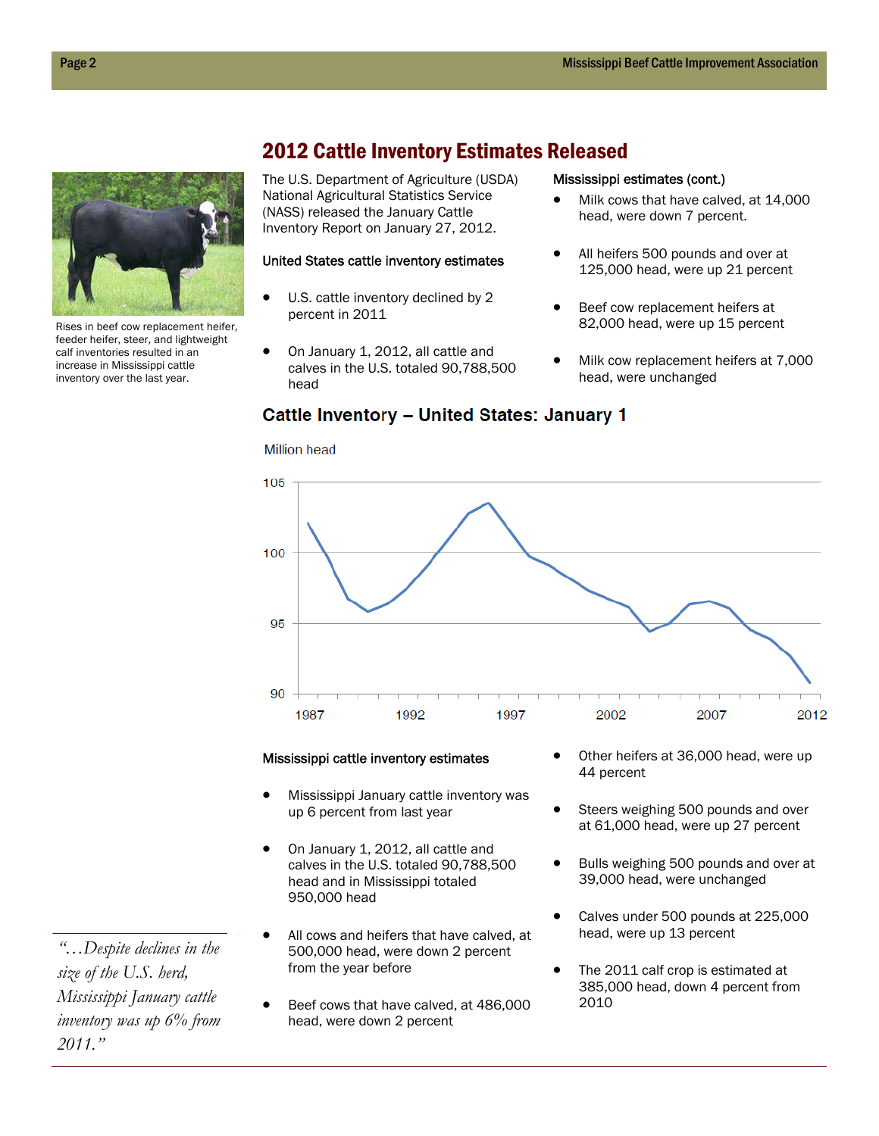

Rises in beef cow replacement heifer, feeder heifer, steer, and lightweight calf inventories resulted in an increase in Mississippi cattle inventory over the last year.

2012 Cattle Inventory Estimates Released

**Cattle Inventory - United States: January 1** 

The U.S. Department of Agriculture (USDA) National Agricultural Statistics Service (NASS) released the January Cattle Inventory Report on January 27, 2012.

#### United States cattle inventory estimates

- $\bullet$  U.S. cattle inventory declined by 2 percent in 2011
- On January 1, 2012, all cattle and calves in the U.S. totaled 90,788,500 head

#### Mississippi estimates (cont.)

- Milk cows that have calved, at 14,000 head, were down 7 percent.
- All heifers 500 pounds and over at 125,000 head, were up 21 percent
- Beef cow replacement heifers at 82,000 head, were up 15 percent
- Milk cow replacement heifers at 7,000 head, were unchanged



#### Mississippi cattle inventory estimates

- Mississippi January cattle inventory was up 6 percent from last year
- On January 1, 2012, all cattle and calves in the U.S. totaled 90,788,500 head and in Mississippi totaled 950,000 head
- All cows and heifers that have calved, at 500,000 head, were down 2 percent from the year before
- Beef cows that have calved, at 486,000 head, were down 2 percent
- Other heifers at 36,000 head, were up 44 percent
- Steers weighing 500 pounds and over at 61,000 head, were up 27 percent
- Bulls weighing 500 pounds and over at 39,000 head, were unchanged
- Calves under 500 pounds at 225,000 head, were up 13 percent
- The 2011 calf crop is estimated at 385,000 head, down 4 percent from 2010

*"…Despite declines in the size of the U.S. herd, Mississippi January cattle inventory was up 6% from 2011."* 

**Million head**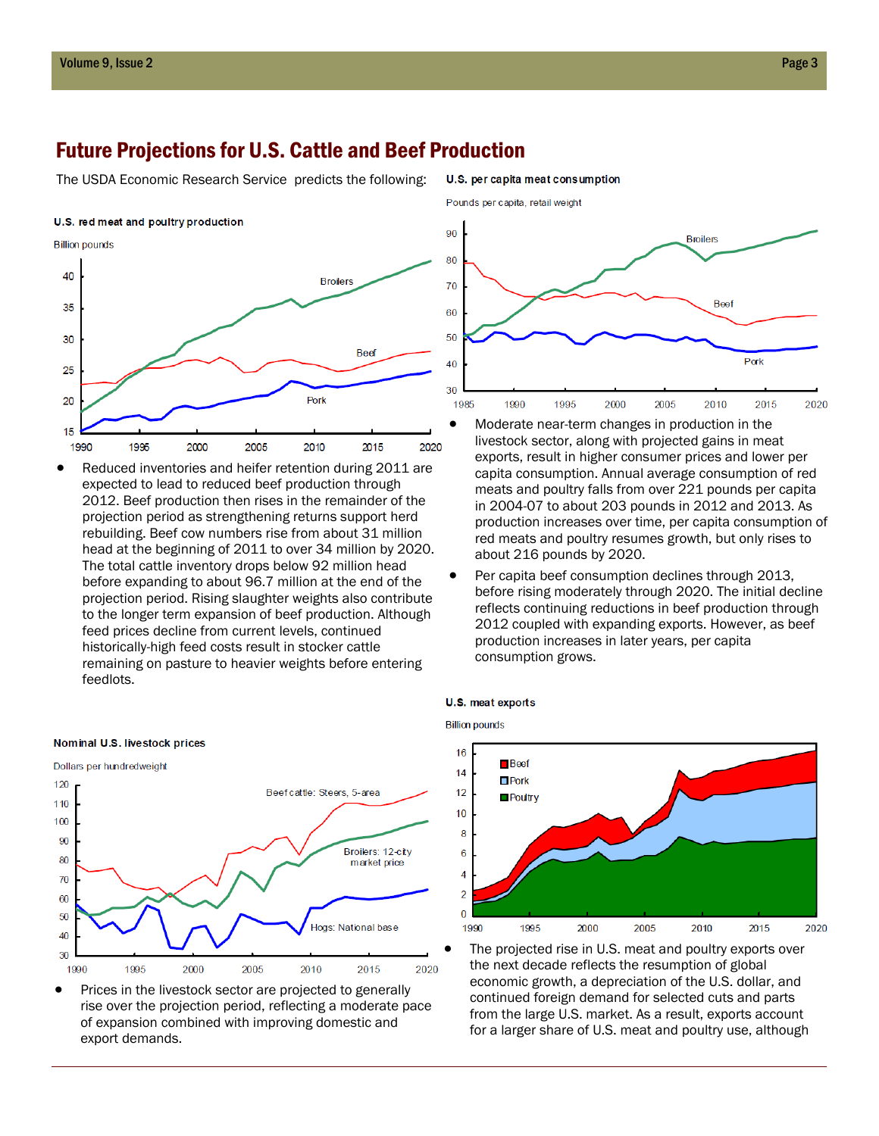### Future Projections for U.S. Cattle and Beef Production

The USDA Economic Research Service predicts the following:





 Reduced inventories and heifer retention during 2011 are expected to lead to reduced beef production through 2012. Beef production then rises in the remainder of the projection period as strengthening returns support herd rebuilding. Beef cow numbers rise from about 31 million head at the beginning of 2011 to over 34 million by 2020. The total cattle inventory drops below 92 million head before expanding to about 96.7 million at the end of the projection period. Rising slaughter weights also contribute to the longer term expansion of beef production. Although feed prices decline from current levels, continued historically-high feed costs result in stocker cattle remaining on pasture to heavier weights before entering feedlots.



• Prices in the livestock sector are projected to generally rise over the projection period, reflecting a moderate pace of expansion combined with improving domestic and export demands.



U.S. per capita meat consumption

- Moderate near-term changes in production in the livestock sector, along with projected gains in meat exports, result in higher consumer prices and lower per capita consumption. Annual average consumption of red meats and poultry falls from over 221 pounds per capita in 2004-07 to about 203 pounds in 2012 and 2013. As production increases over time, per capita consumption of red meats and poultry resumes growth, but only rises to about 216 pounds by 2020.
- Per capita beef consumption declines through 2013, before rising moderately through 2020. The initial decline reflects continuing reductions in beef production through 2012 coupled with expanding exports. However, as beef production increases in later years, per capita consumption grows.

#### U.S. meat exports

**Billion pounds** 



 The projected rise in U.S. meat and poultry exports over the next decade reflects the resumption of global economic growth, a depreciation of the U.S. dollar, and continued foreign demand for selected cuts and parts from the large U.S. market. As a result, exports account for a larger share of U.S. meat and poultry use, although